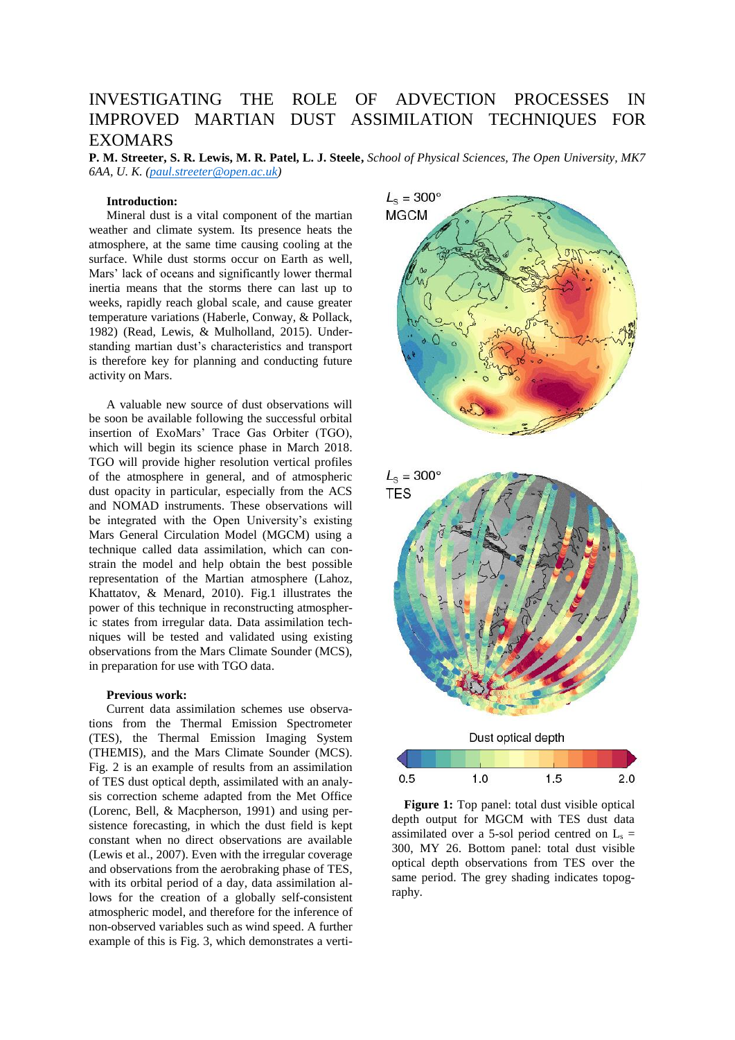# INVESTIGATING THE ROLE OF ADVECTION PROCESSES IN IMPROVED MARTIAN DUST ASSIMILATION TECHNIQUES FOR EXOMARS

**P. M. Streeter, S. R. Lewis, M. R. Patel, L. J. Steele,** *School of Physical Sciences, The Open University, MK7 6AA, U. K. [\(paul.streeter@open.ac.uk\)](mailto:paul.streeter@open.ac.uk)*

## **Introduction:**

Mineral dust is a vital component of the martian weather and climate system. Its presence heats the atmosphere, at the same time causing cooling at the surface. While dust storms occur on Earth as well, Mars' lack of oceans and significantly lower thermal inertia means that the storms there can last up to weeks, rapidly reach global scale, and cause greater temperature variations (Haberle, Conway, & Pollack, 1982) (Read, Lewis, & Mulholland, 2015). Understanding martian dust's characteristics and transport is therefore key for planning and conducting future activity on Mars.

A valuable new source of dust observations will be soon be available following the successful orbital insertion of ExoMars' Trace Gas Orbiter (TGO), which will begin its science phase in March 2018. TGO will provide higher resolution vertical profiles of the atmosphere in general, and of atmospheric dust opacity in particular, especially from the ACS and NOMAD instruments. These observations will be integrated with the Open University's existing Mars General Circulation Model (MGCM) using a technique called data assimilation, which can constrain the model and help obtain the best possible representation of the Martian atmosphere (Lahoz, Khattatov, & Menard, 2010). Fig.1 illustrates the power of this technique in reconstructing atmospheric states from irregular data. Data assimilation techniques will be tested and validated using existing observations from the Mars Climate Sounder (MCS), in preparation for use with TGO data.

## **Previous work:**

Current data assimilation schemes use observations from the Thermal Emission Spectrometer (TES), the Thermal Emission Imaging System (THEMIS), and the Mars Climate Sounder (MCS). Fig. 2 is an example of results from an assimilation of TES dust optical depth, assimilated with an analysis correction scheme adapted from the Met Office (Lorenc, Bell, & Macpherson, 1991) and using persistence forecasting, in which the dust field is kept constant when no direct observations are available (Lewis et al., 2007). Even with the irregular coverage and observations from the aerobraking phase of TES, with its orbital period of a day, data assimilation allows for the creation of a globally self-consistent atmospheric model, and therefore for the inference of non-observed variables such as wind speed. A further example of this is Fig. 3, which demonstrates a verti-





 **Figure 1:** Top panel: total dust visible optical depth output for MGCM with TES dust data assimilated over a 5-sol period centred on  $L_s$  = 300, MY 26. Bottom panel: total dust visible optical depth observations from TES over the same period. The grey shading indicates topography.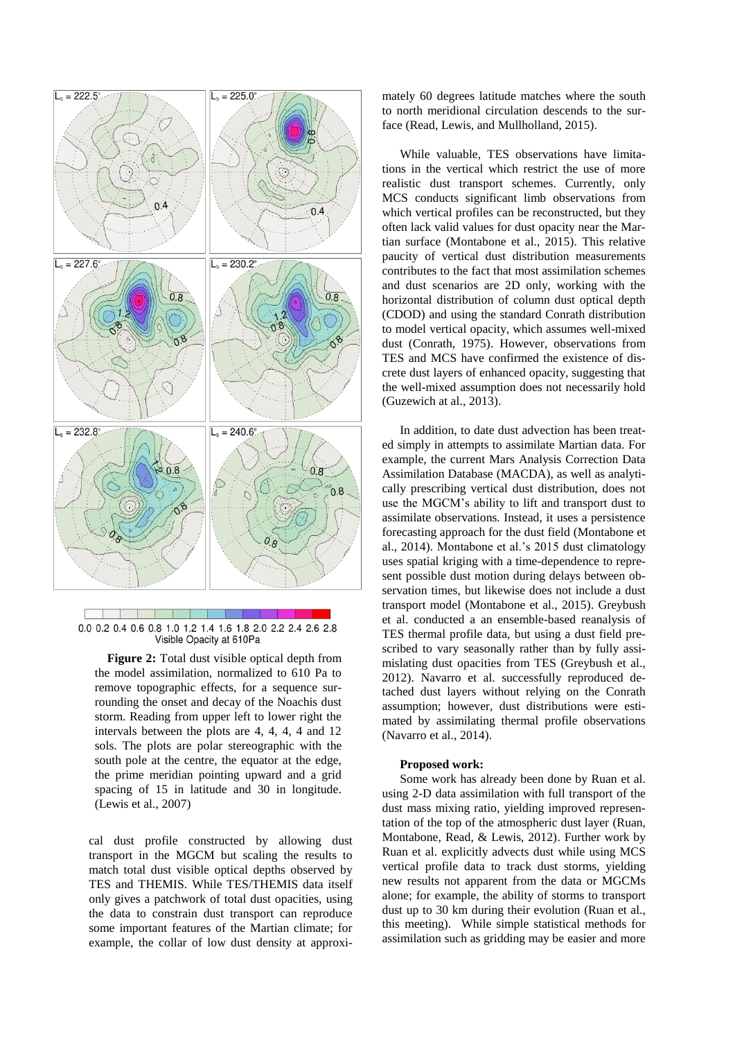

0.0 0.2 0.4 0.6 0.8 1.0 1.2 1.4 1.6 1.8 2.0 2.2 2.4 2.6 2.8 Visible Opacity at 610Pa

**Figure 2:** Total dust visible optical depth from the model assimilation, normalized to 610 Pa to remove topographic effects, for a sequence surrounding the onset and decay of the Noachis dust storm. Reading from upper left to lower right the intervals between the plots are 4, 4, 4, 4 and 12 sols. The plots are polar stereographic with the south pole at the centre, the equator at the edge, the prime meridian pointing upward and a grid spacing of 15 in latitude and 30 in longitude. (Lewis et al., 2007)

cal dust profile constructed by allowing dust transport in the MGCM but scaling the results to match total dust visible optical depths observed by TES and THEMIS. While TES/THEMIS data itself only gives a patchwork of total dust opacities, using the data to constrain dust transport can reproduce some important features of the Martian climate; for example, the collar of low dust density at approximately 60 degrees latitude matches where the south to north meridional circulation descends to the surface (Read, Lewis, and Mullholland, 2015).

While valuable, TES observations have limitations in the vertical which restrict the use of more realistic dust transport schemes. Currently, only MCS conducts significant limb observations from which vertical profiles can be reconstructed, but they often lack valid values for dust opacity near the Martian surface (Montabone et al., 2015). This relative paucity of vertical dust distribution measurements contributes to the fact that most assimilation schemes and dust scenarios are 2D only, working with the horizontal distribution of column dust optical depth (CDOD) and using the standard Conrath distribution to model vertical opacity, which assumes well-mixed dust (Conrath, 1975). However, observations from TES and MCS have confirmed the existence of discrete dust layers of enhanced opacity, suggesting that the well-mixed assumption does not necessarily hold (Guzewich at al., 2013).

In addition, to date dust advection has been treated simply in attempts to assimilate Martian data. For example, the current Mars Analysis Correction Data Assimilation Database (MACDA), as well as analytically prescribing vertical dust distribution, does not use the MGCM's ability to lift and transport dust to assimilate observations. Instead, it uses a persistence forecasting approach for the dust field (Montabone et al., 2014). Montabone et al.'s 2015 dust climatology uses spatial kriging with a time-dependence to represent possible dust motion during delays between observation times, but likewise does not include a dust transport model (Montabone et al., 2015). Greybush et al. conducted a an ensemble-based reanalysis of TES thermal profile data, but using a dust field prescribed to vary seasonally rather than by fully assimislating dust opacities from TES (Greybush et al., 2012). Navarro et al. successfully reproduced detached dust layers without relying on the Conrath assumption; however, dust distributions were estimated by assimilating thermal profile observations (Navarro et al., 2014).

#### **Proposed work:**

Some work has already been done by Ruan et al. using 2-D data assimilation with full transport of the dust mass mixing ratio, yielding improved representation of the top of the atmospheric dust layer (Ruan, Montabone, Read, & Lewis, 2012). Further work by Ruan et al. explicitly advects dust while using MCS vertical profile data to track dust storms, yielding new results not apparent from the data or MGCMs alone; for example, the ability of storms to transport dust up to 30 km during their evolution (Ruan et al., this meeting). While simple statistical methods for assimilation such as gridding may be easier and more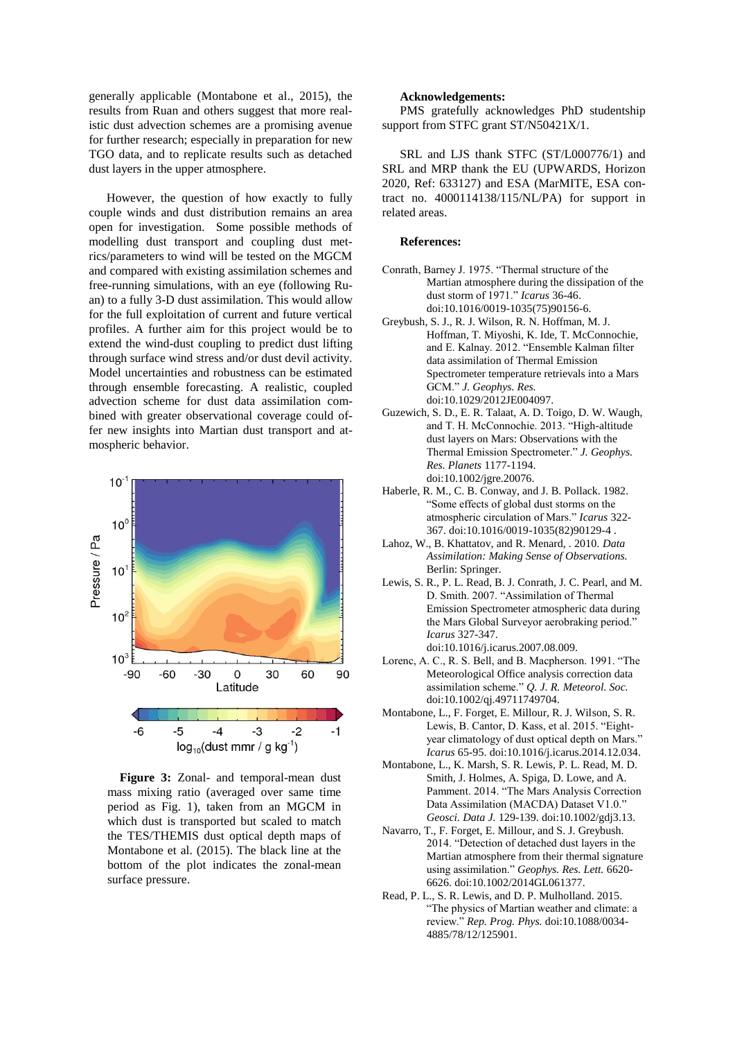generally applicable (Montabone et al., 2015), the results from Ruan and others suggest that more realistic dust advection schemes are a promising avenue for further research; especially in preparation for new TGO data, and to replicate results such as detached dust layers in the upper atmosphere.

However, the question of how exactly to fully couple winds and dust distribution remains an area open for investigation. Some possible methods of modelling dust transport and coupling dust metrics/parameters to wind will be tested on the MGCM and compared with existing assimilation schemes and free-running simulations, with an eye (following Ruan) to a fully 3-D dust assimilation. This would allow for the full exploitation of current and future vertical profiles. A further aim for this project would be to extend the wind-dust coupling to predict dust lifting through surface wind stress and/or dust devil activity. Model uncertainties and robustness can be estimated through ensemble forecasting. A realistic, coupled advection scheme for dust data assimilation combined with greater observational coverage could offer new insights into Martian dust transport and atmospheric behavior.



Figure 3: Zonal- and temporal-mean dust mass mixing ratio (averaged over same time period as Fig. 1), taken from an MGCM in which dust is transported but scaled to match the TES/THEMIS dust optical depth maps of Montabone et al. (2015). The black line at the bottom of the plot indicates the zonal-mean surface pressure.

### **Acknowledgements:**

PMS gratefully acknowledges PhD studentship support from STFC grant ST/N50421X/1.

SRL and LJS thank STFC (ST/L000776/1) and SRL and MRP thank the EU (UPWARDS, Horizon 2020, Ref: 633127) and ESA (MarMITE, ESA contract no. 4000114138/115/NL/PA) for support in related areas.

#### **References:**

- Conrath, Barney J. 1975. "Thermal structure of the Martian atmosphere during the dissipation of the dust storm of 1971." *Icarus* 36-46. doi:10.1016/0019-1035(75)90156-6.
- Greybush, S. J., R. J. Wilson, R. N. Hoffman, M. J. Hoffman, T. Miyoshi, K. Ide, T. McConnochie, and E. Kalnay. 2012. "Ensemble Kalman filter data assimilation of Thermal Emission Spectrometer temperature retrievals into a Mars GCM." *J. Geophys. Res.* doi:10.1029/2012JE004097.
- Guzewich, S. D., E. R. Talaat, A. D. Toigo, D. W. Waugh, and T. H. McConnochie. 2013. "High-altitude dust layers on Mars: Observations with the Thermal Emission Spectrometer." *J. Geophys. Res. Planets* 1177-1194. doi:10.1002/jgre.20076.
- Haberle, R. M., C. B. Conway, and J. B. Pollack. 1982. "Some effects of global dust storms on the atmospheric circulation of Mars." *Icarus* 322- 367. doi:10.1016/0019-1035(82)90129-4 .
- Lahoz, W., B. Khattatov, and R. Menard, . 2010. *Data Assimilation: Making Sense of Observations.* Berlin: Springer.
- Lewis, S. R., P. L. Read, B. J. Conrath, J. C. Pearl, and M. D. Smith. 2007. "Assimilation of Thermal Emission Spectrometer atmospheric data during the Mars Global Surveyor aerobraking period." *Icarus* 327-347. doi:10.1016/j.icarus.2007.08.009.
- Lorenc, A. C., R. S. Bell, and B. Macpherson. 1991. "The Meteorological Office analysis correction data assimilation scheme." *Q. J. R. Meteorol. Soc.* doi:10.1002/qj.49711749704.
- Montabone, L., F. Forget, E. Millour, R. J. Wilson, S. R. Lewis, B. Cantor, D. Kass, et al. 2015. "Eightyear climatology of dust optical depth on Mars." *Icarus* 65-95. doi:10.1016/j.icarus.2014.12.034.
- Montabone, L., K. Marsh, S. R. Lewis, P. L. Read, M. D. Smith, J. Holmes, A. Spiga, D. Lowe, and A. Pamment. 2014. "The Mars Analysis Correction Data Assimilation (MACDA) Dataset V1.0." *Geosci. Data J.* 129-139. doi:10.1002/gdj3.13.
- Navarro, T., F. Forget, E. Millour, and S. J. Greybush. 2014. "Detection of detached dust layers in the Martian atmosphere from their thermal signature using assimilation." *Geophys. Res. Lett.* 6620- 6626. doi:10.1002/2014GL061377.
- Read, P. L., S. R. Lewis, and D. P. Mulholland. 2015. "The physics of Martian weather and climate: a review." *Rep. Prog. Phys.* doi:10.1088/0034- 4885/78/12/125901.